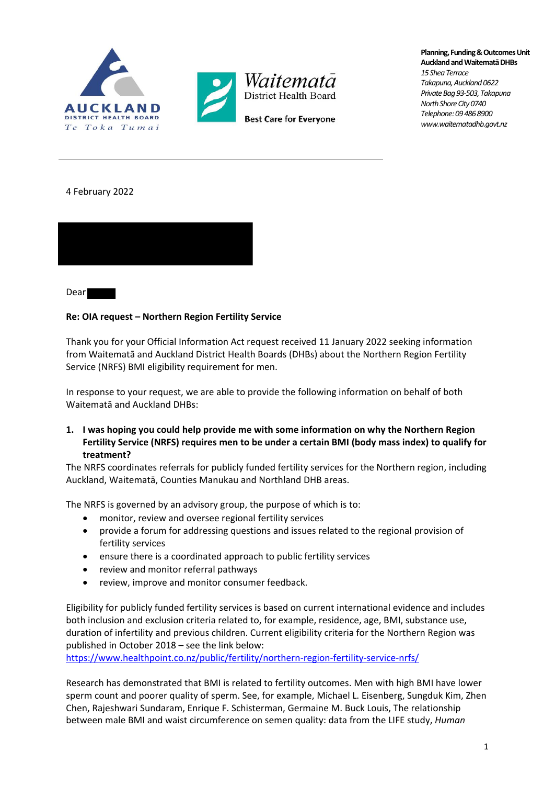

**Planning, Funding & Outcomes Unit Auckland and WaitematāDHBs** *15 Shea Terrace Takapuna, Auckland 0622 Private Bag 93-503, Takapuna North Shore City 0740 Telephone: 09 486 8900 www.waitematadhb.govt.nz*

4 February 2022



Dear

## **Re: OIA request – Northern Region Fertility Service**

Thank you for your Official Information Act request received 11 January 2022 seeking information from Waitematā and Auckland District Health Boards (DHBs) about the Northern Region Fertility Service (NRFS) BMI eligibility requirement for men.

In response to your request, we are able to provide the following information on behalf of both Waitematā and Auckland DHBs:

**1. I was hoping you could help provide me with some information on why the Northern Region Fertility Service (NRFS) requires men to be under a certain BMI (body mass index) to qualify for treatment?**

The NRFS coordinates referrals for publicly funded fertility services for the Northern region, including Auckland, Waitematā, Counties Manukau and Northland DHB areas.

The NRFS is governed by an advisory group, the purpose of which is to:

- monitor, review and oversee regional fertility services
- provide a forum for addressing questions and issues related to the regional provision of fertility services
- ensure there is a coordinated approach to public fertility services
- review and monitor referral pathways
- review, improve and monitor consumer feedback.

Eligibility for publicly funded fertility services is based on current international evidence and includes both inclusion and exclusion criteria related to, for example, residence, age, BMI, substance use, duration of infertility and previous children. Current eligibility criteria for the Northern Region was published in October 2018 – see the link below:

https://www.healthpoint.co.nz/public/fertility/northern-region-fertility-service-nrfs/

Research has demonstrated that BMI is related to fertility outcomes. Men with high BMI have lower sperm count and poorer quality of sperm. See, for example, Michael L. Eisenberg, Sungduk Kim, Zhen Chen, Rajeshwari Sundaram, Enrique F. Schisterman, Germaine M. Buck Louis, The relationship between male BMI and waist circumference on semen quality: data from the LIFE study, *Human*